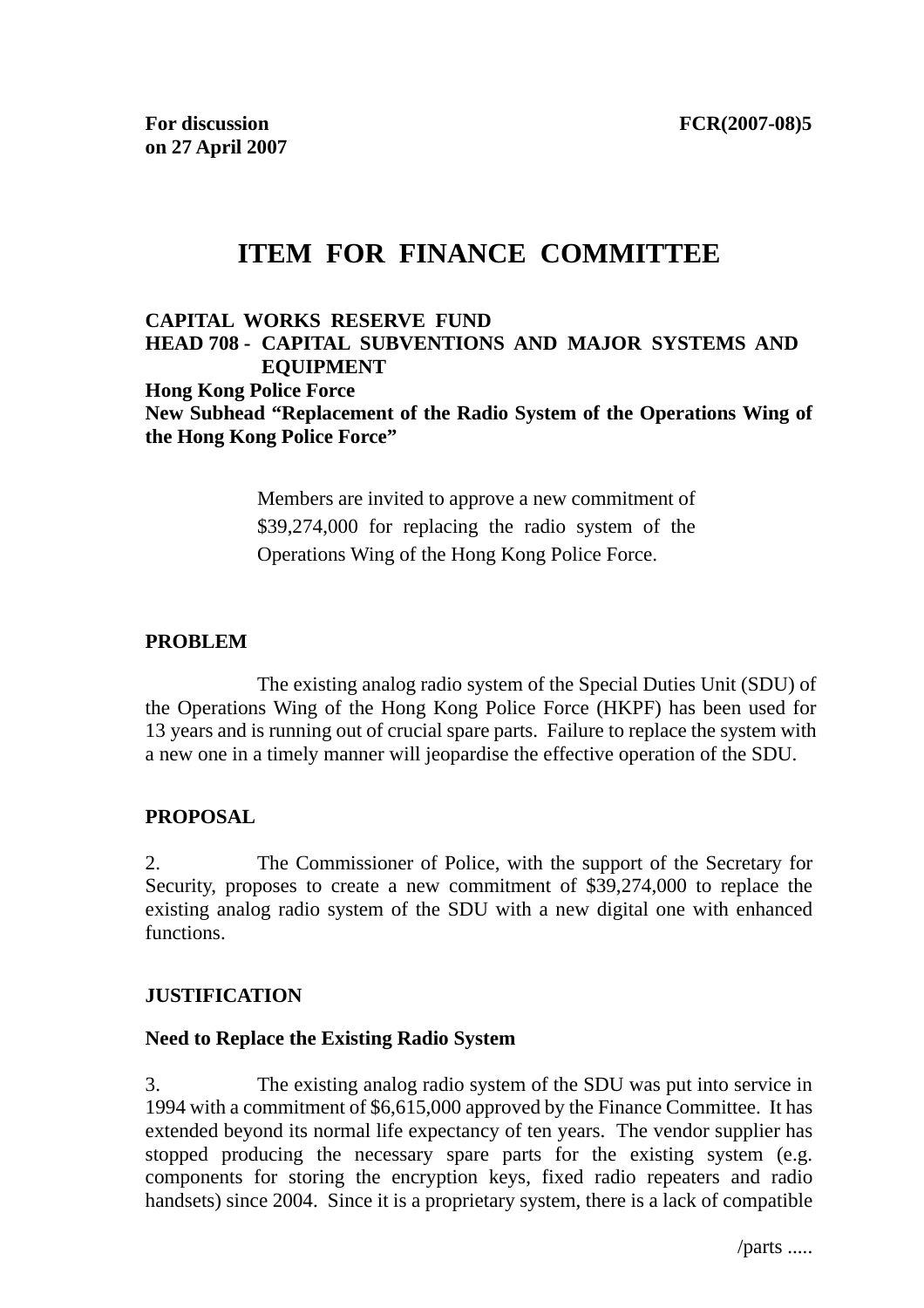# **ITEM FOR FINANCE COMMITTEE**

# **CAPITAL WORKS RESERVE FUND HEAD 708 - CAPITAL SUBVENTIONS AND MAJOR SYSTEMS AND EQUIPMENT Hong Kong Police Force New Subhead "Replacement of the Radio System of the Operations Wing of the Hong Kong Police Force"**

Members are invited to approve a new commitment of \$39,274,000 for replacing the radio system of the Operations Wing of the Hong Kong Police Force.

### **PROBLEM**

The existing analog radio system of the Special Duties Unit (SDU) of the Operations Wing of the Hong Kong Police Force (HKPF) has been used for 13 years and is running out of crucial spare parts. Failure to replace the system with a new one in a timely manner will jeopardise the effective operation of the SDU.

# **PROPOSAL**

2. The Commissioner of Police, with the support of the Secretary for Security, proposes to create a new commitment of \$39,274,000 to replace the existing analog radio system of the SDU with a new digital one with enhanced functions.

### **JUSTIFICATION**

### **Need to Replace the Existing Radio System**

3. The existing analog radio system of the SDU was put into service in 1994 with a commitment of \$6,615,000 approved by the Finance Committee. It has extended beyond its normal life expectancy of ten years. The vendor supplier has stopped producing the necessary spare parts for the existing system (e.g. components for storing the encryption keys, fixed radio repeaters and radio handsets) since 2004. Since it is a proprietary system, there is a lack of compatible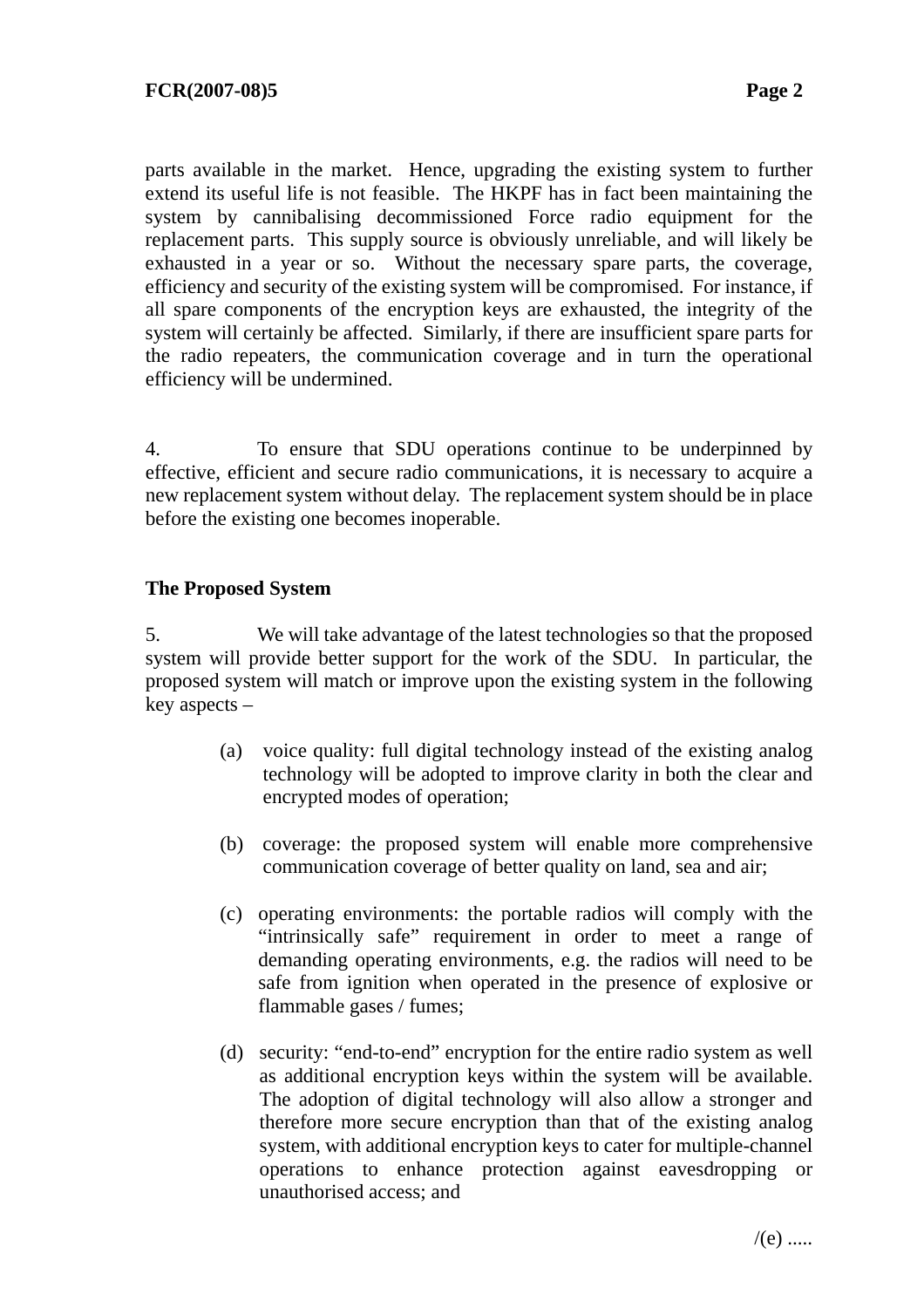parts available in the market. Hence, upgrading the existing system to further extend its useful life is not feasible. The HKPF has in fact been maintaining the system by cannibalising decommissioned Force radio equipment for the replacement parts. This supply source is obviously unreliable, and will likely be exhausted in a year or so. Without the necessary spare parts, the coverage, efficiency and security of the existing system will be compromised. For instance, if all spare components of the encryption keys are exhausted, the integrity of the system will certainly be affected. Similarly, if there are insufficient spare parts for the radio repeaters, the communication coverage and in turn the operational efficiency will be undermined.

4. To ensure that SDU operations continue to be underpinned by effective, efficient and secure radio communications, it is necessary to acquire a new replacement system without delay. The replacement system should be in place before the existing one becomes inoperable.

# **The Proposed System**

5. We will take advantage of the latest technologies so that the proposed system will provide better support for the work of the SDU. In particular, the proposed system will match or improve upon the existing system in the following key aspects –

- (a) voice quality: full digital technology instead of the existing analog technology will be adopted to improve clarity in both the clear and encrypted modes of operation;
- (b) coverage: the proposed system will enable more comprehensive communication coverage of better quality on land, sea and air;
- (c) operating environments: the portable radios will comply with the "intrinsically safe" requirement in order to meet a range of demanding operating environments, e.g. the radios will need to be safe from ignition when operated in the presence of explosive or flammable gases / fumes;
- (d) security: "end-to-end" encryption for the entire radio system as well as additional encryption keys within the system will be available. The adoption of digital technology will also allow a stronger and therefore more secure encryption than that of the existing analog system, with additional encryption keys to cater for multiple-channel operations to enhance protection against eavesdropping unauthorised access; and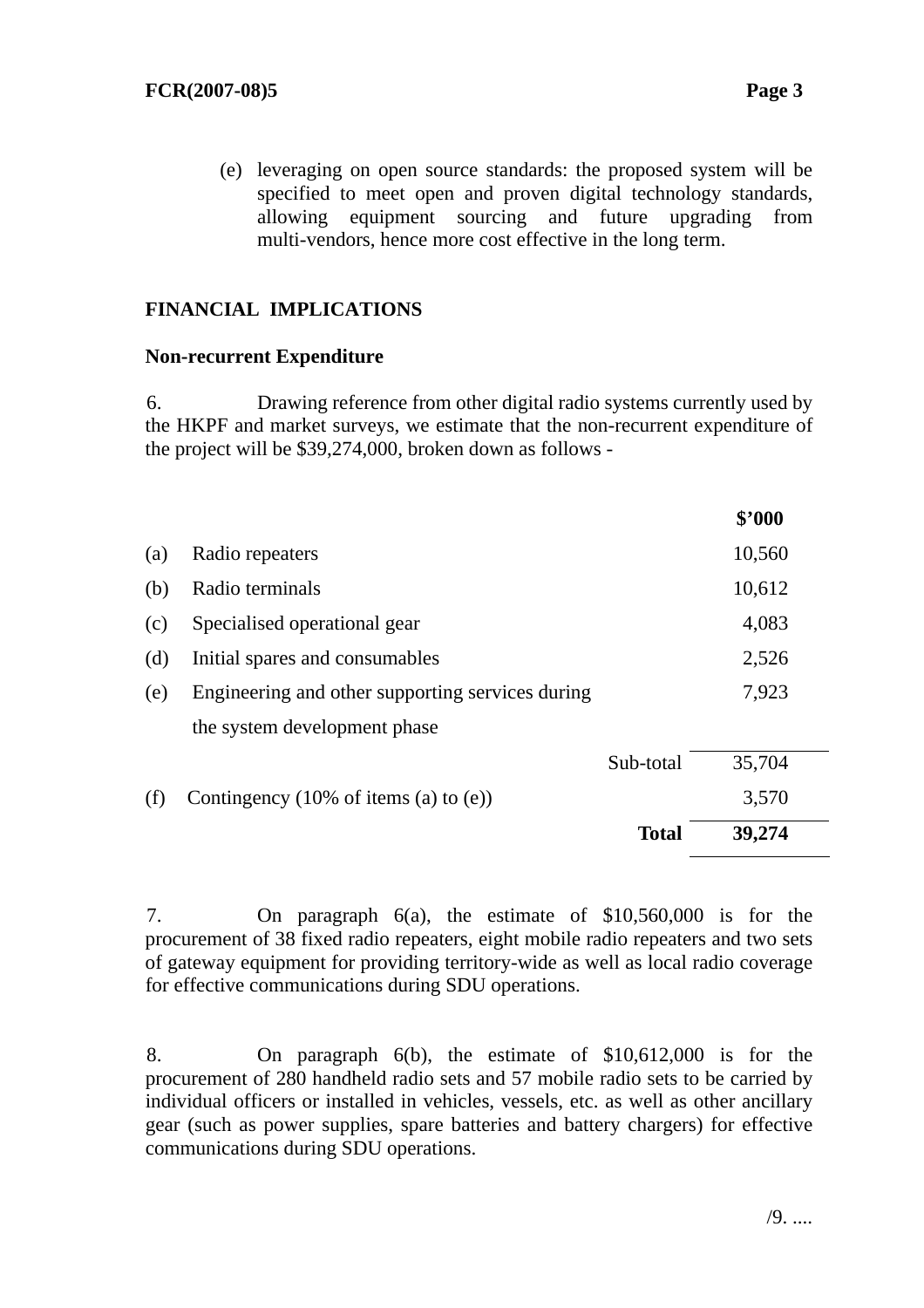(e) leveraging on open source standards: the proposed system will be specified to meet open and proven digital technology standards, allowing equipment sourcing and future upgrading from multi-vendors, hence more cost effective in the long term.

# **FINANCIAL IMPLICATIONS**

### **Non-recurrent Expenditure**

6. Drawing reference from other digital radio systems currently used by the HKPF and market surveys, we estimate that the non-recurrent expenditure of the project will be \$39,274,000, broken down as follows -

|     |                                                            |              | \$'000 |  |
|-----|------------------------------------------------------------|--------------|--------|--|
| (a) | Radio repeaters                                            |              | 10,560 |  |
| (b) | Radio terminals                                            |              | 10,612 |  |
| (c) | Specialised operational gear                               |              | 4,083  |  |
| (d) | Initial spares and consumables                             |              | 2,526  |  |
| (e) | Engineering and other supporting services during           |              | 7,923  |  |
|     | the system development phase                               |              |        |  |
|     |                                                            | Sub-total    | 35,704 |  |
| (f) | Contingency $(10\% \text{ of items } (a) \text{ to } (e))$ |              | 3,570  |  |
|     |                                                            | <b>Total</b> | 39,274 |  |

7. On paragraph 6(a), the estimate of \$10,560,000 is for the procurement of 38 fixed radio repeaters, eight mobile radio repeaters and two sets of gateway equipment for providing territory-wide as well as local radio coverage for effective communications during SDU operations.

8. On paragraph 6(b), the estimate of \$10,612,000 is for the procurement of 280 handheld radio sets and 57 mobile radio sets to be carried by individual officers or installed in vehicles, vessels, etc. as well as other ancillary gear (such as power supplies, spare batteries and battery chargers) for effective communications during SDU operations.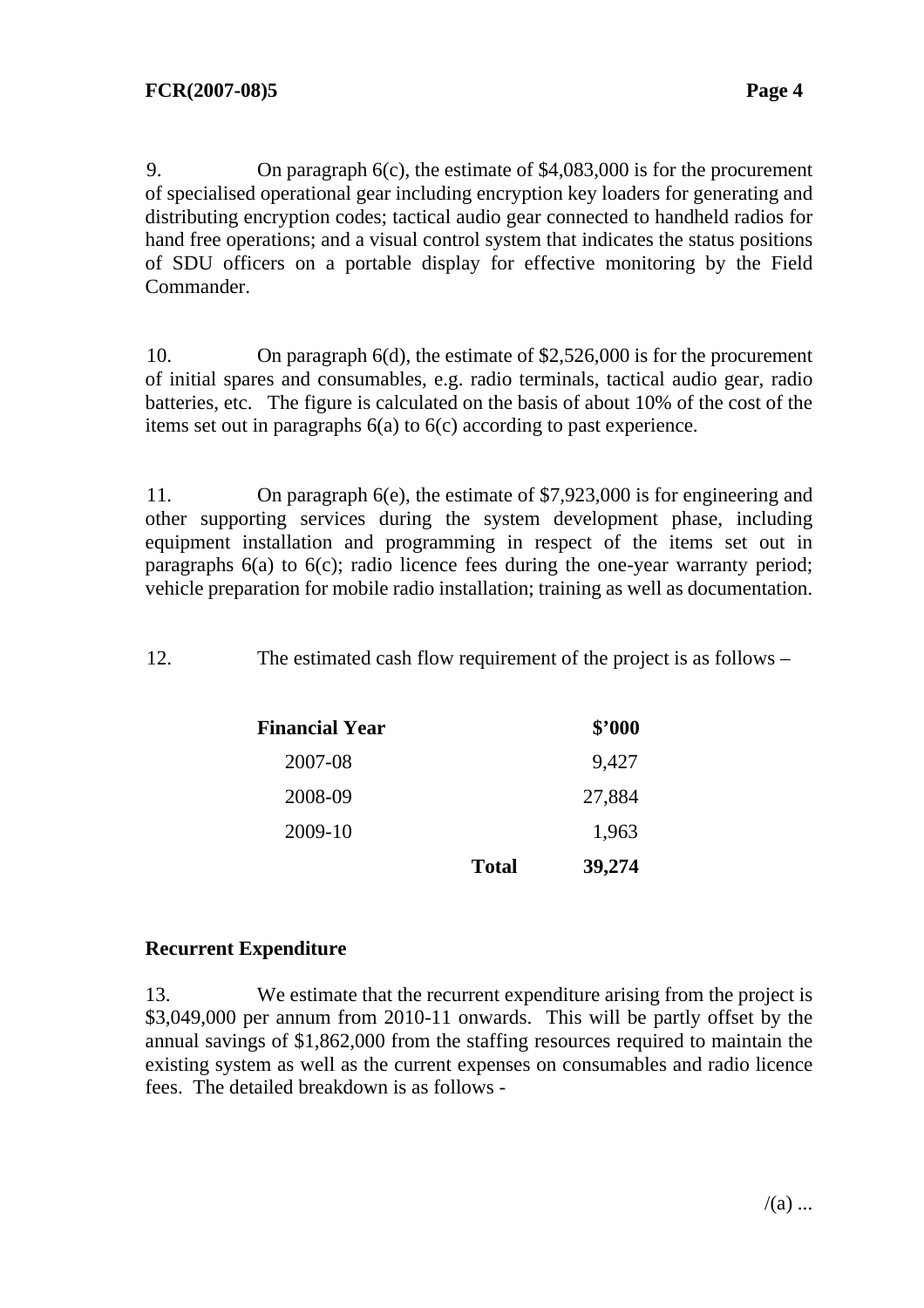9. On paragraph 6(c), the estimate of \$4,083,000 is for the procurement of specialised operational gear including encryption key loaders for generating and distributing encryption codes; tactical audio gear connected to handheld radios for hand free operations; and a visual control system that indicates the status positions of SDU officers on a portable display for effective monitoring by the Field Commander.

10. On paragraph 6(d), the estimate of \$2,526,000 is for the procurement of initial spares and consumables, e.g. radio terminals, tactical audio gear, radio batteries, etc. The figure is calculated on the basis of about 10% of the cost of the items set out in paragraphs 6(a) to 6(c) according to past experience.

11. On paragraph 6(e), the estimate of \$7,923,000 is for engineering and other supporting services during the system development phase, including equipment installation and programming in respect of the items set out in paragraphs 6(a) to 6(c); radio licence fees during the one-year warranty period; vehicle preparation for mobile radio installation; training as well as documentation.

12. The estimated cash flow requirement of the project is as follows –

| <b>Financial Year</b> |              | \$'000 |
|-----------------------|--------------|--------|
| 2007-08               |              | 9,427  |
| 2008-09               |              | 27,884 |
| 2009-10               |              | 1,963  |
|                       | <b>Total</b> | 39,274 |

# **Recurrent Expenditure**

13. We estimate that the recurrent expenditure arising from the project is \$3,049,000 per annum from 2010-11 onwards. This will be partly offset by the annual savings of \$1,862,000 from the staffing resources required to maintain the existing system as well as the current expenses on consumables and radio licence fees. The detailed breakdown is as follows -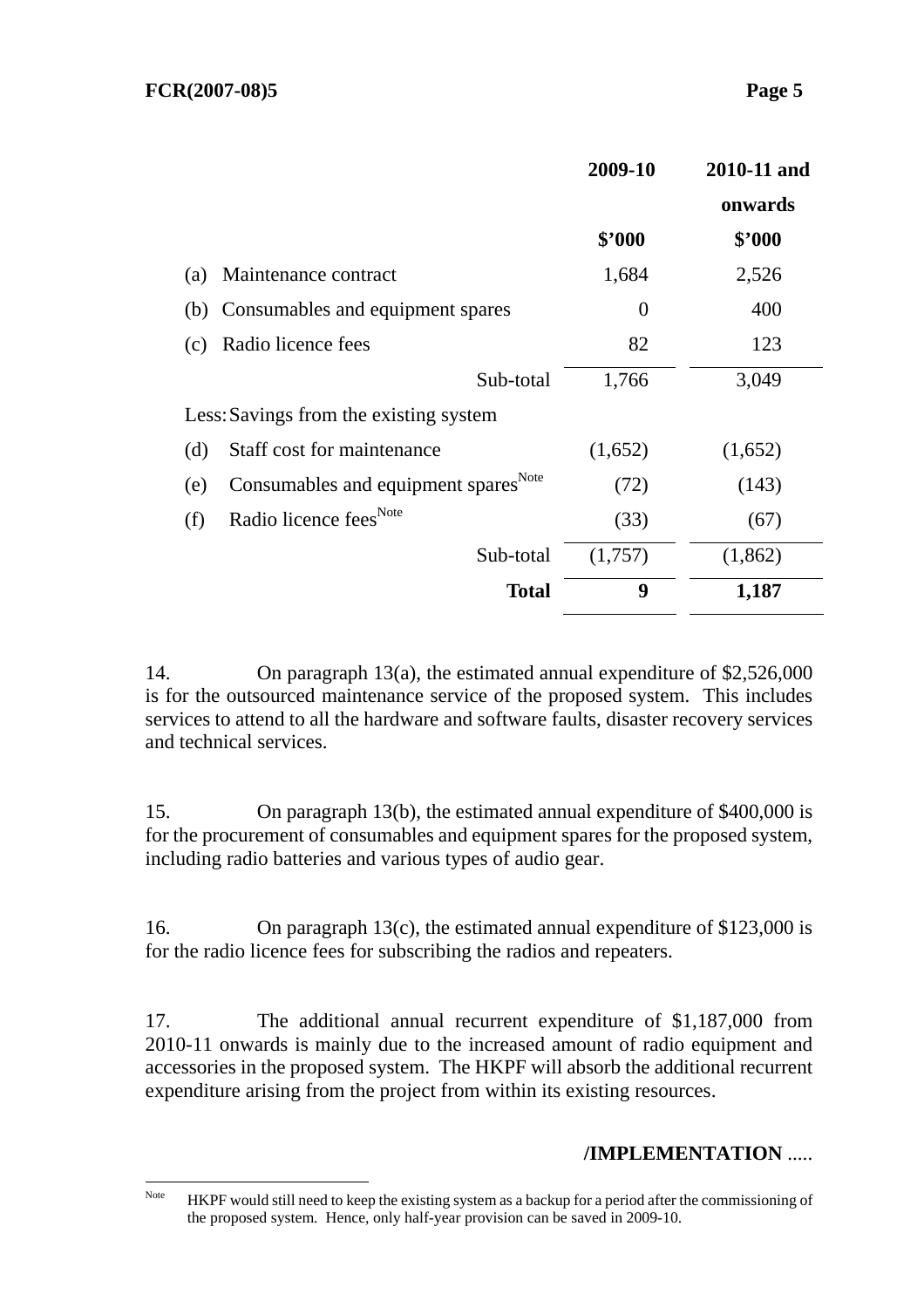|                                        |                                                  | 2009-10        | 2010-11 and |
|----------------------------------------|--------------------------------------------------|----------------|-------------|
|                                        |                                                  |                | onwards     |
|                                        |                                                  | \$'000         | \$2000      |
| (a)                                    | Maintenance contract                             | 1,684          | 2,526       |
| (b)                                    | Consumables and equipment spares                 | $\overline{0}$ | 400         |
| (c)                                    | Radio licence fees                               | 82             | 123         |
|                                        | Sub-total                                        | 1,766          | 3,049       |
| Less: Savings from the existing system |                                                  |                |             |
| (d)                                    | Staff cost for maintenance                       | (1,652)        | (1,652)     |
| (e)                                    | Consumables and equipment spares <sup>Note</sup> | (72)           | (143)       |
| (f)                                    | Radio licence fees <sup>Note</sup>               | (33)           | (67)        |
|                                        | Sub-total                                        | (1,757)        | (1,862)     |
|                                        | <b>Total</b>                                     | 9              | 1,187       |

14. On paragraph 13(a), the estimated annual expenditure of \$2,526,000 is for the outsourced maintenance service of the proposed system. This includes services to attend to all the hardware and software faults, disaster recovery services and technical services.

15. On paragraph 13(b), the estimated annual expenditure of \$400,000 is for the procurement of consumables and equipment spares for the proposed system, including radio batteries and various types of audio gear.

16. On paragraph 13(c), the estimated annual expenditure of \$123,000 is for the radio licence fees for subscribing the radios and repeaters.

17. The additional annual recurrent expenditure of \$1,187,000 from 2010-11 onwards is mainly due to the increased amount of radio equipment and accessories in the proposed system. The HKPF will absorb the additional recurrent expenditure arising from the project from within its existing resources.

# **/IMPLEMENTATION** .....

Note HKPF would still need to keep the existing system as a backup for a period after the commissioning of the proposed system. Hence, only half-year provision can be saved in 2009-10.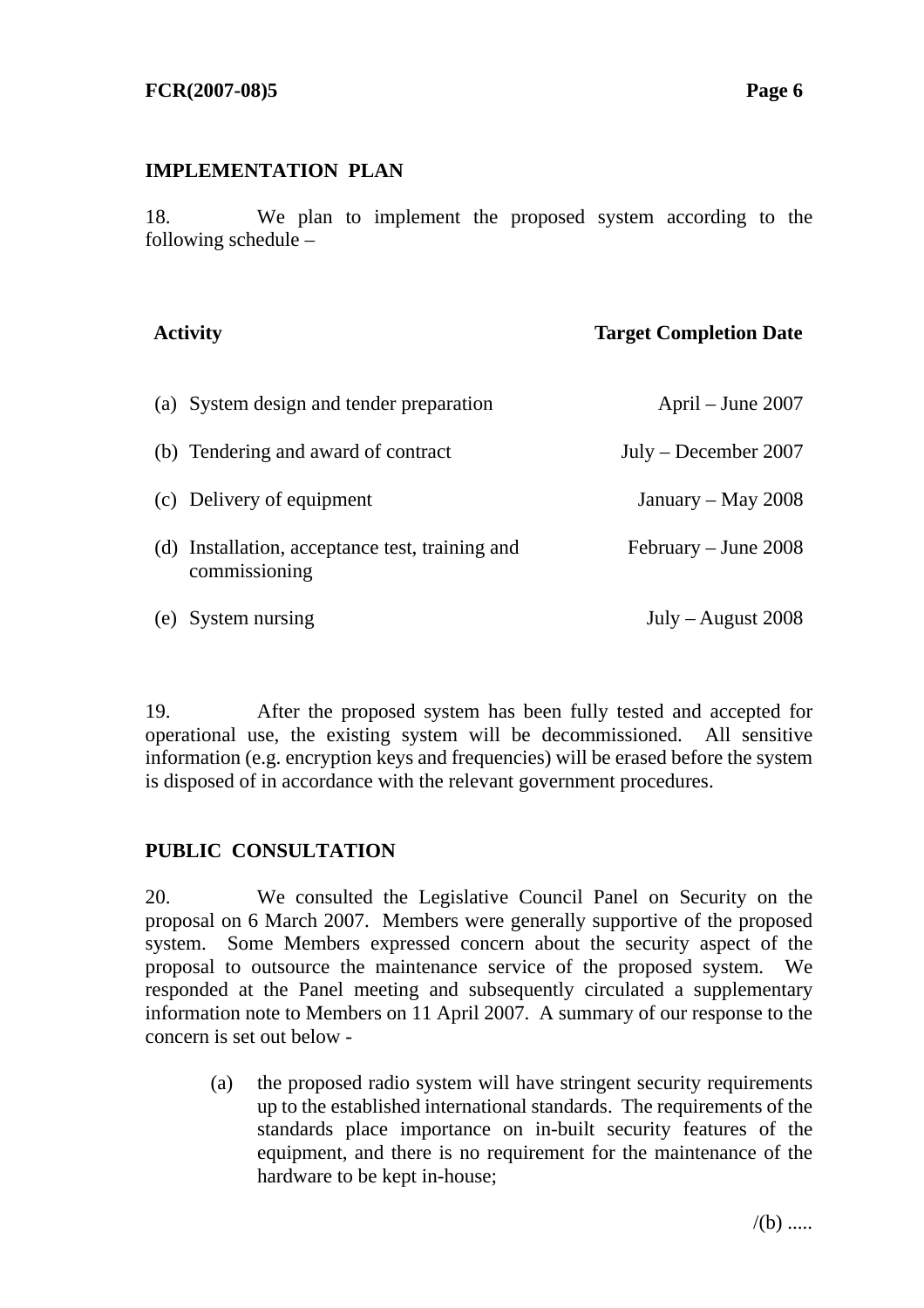### **IMPLEMENTATION PLAN**

18. We plan to implement the proposed system according to the following schedule –

### **Activity Target Completion Date**

| (a) System design and tender preparation                         | April – June 2007      |
|------------------------------------------------------------------|------------------------|
| (b) Tendering and award of contract                              | $July - December 2007$ |
| (c) Delivery of equipment                                        | January – May $2008$   |
| (d) Installation, acceptance test, training and<br>commissioning | $February - June 2008$ |
| (e) System nursing                                               | July – August $2008$   |

19. After the proposed system has been fully tested and accepted for operational use, the existing system will be decommissioned. All sensitive information (e.g. encryption keys and frequencies) will be erased before the system is disposed of in accordance with the relevant government procedures.

# **PUBLIC CONSULTATION**

20. We consulted the Legislative Council Panel on Security on the proposal on 6 March 2007. Members were generally supportive of the proposed system. Some Members expressed concern about the security aspect of the proposal to outsource the maintenance service of the proposed system. We responded at the Panel meeting and subsequently circulated a supplementary information note to Members on 11 April 2007. A summary of our response to the concern is set out below -

(a) the proposed radio system will have stringent security requirements up to the established international standards. The requirements of the standards place importance on in-built security features of the equipment, and there is no requirement for the maintenance of the hardware to be kept in-house;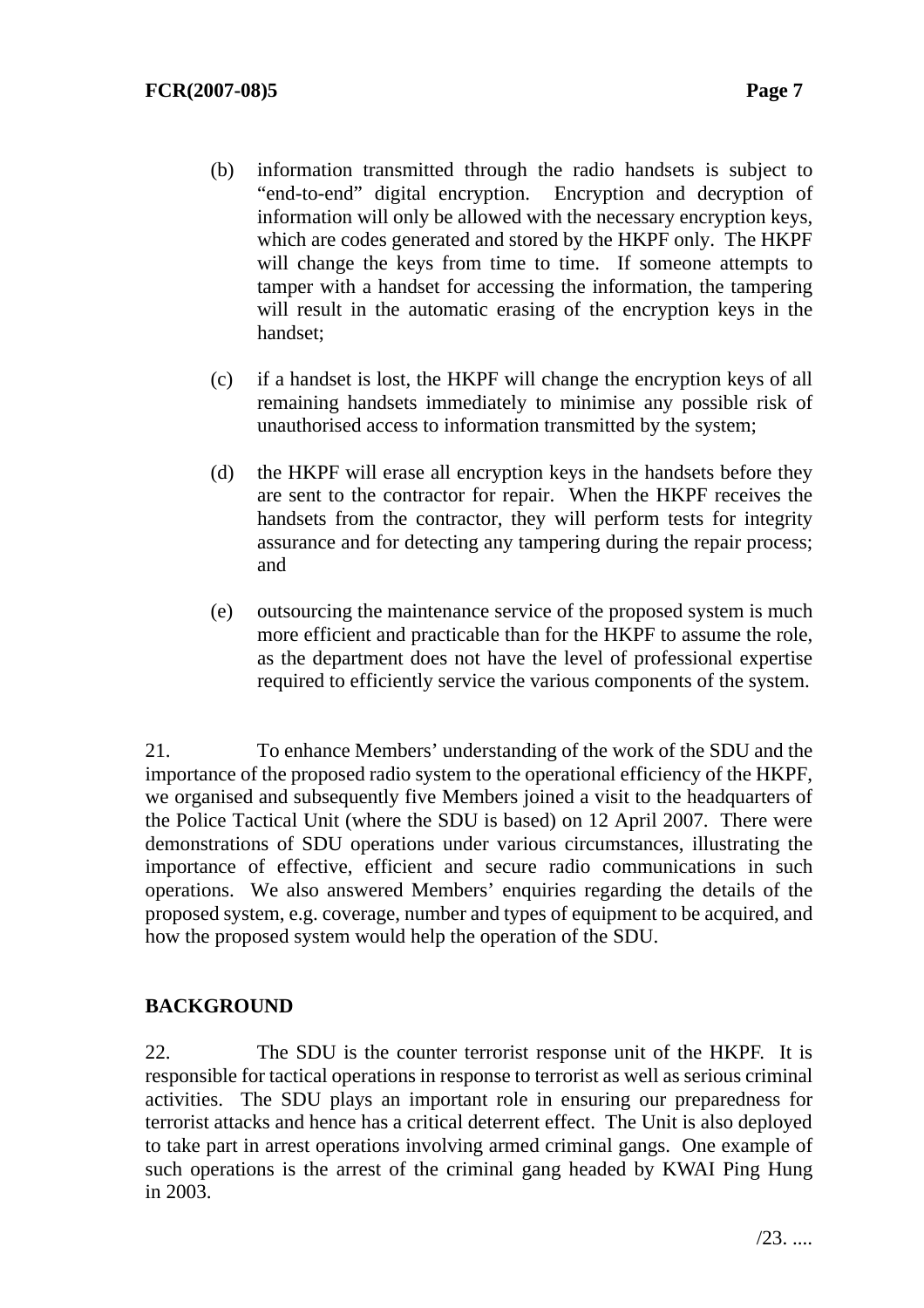- (b) information transmitted through the radio handsets is subject to "end-to-end" digital encryption. Encryption and decryption of information will only be allowed with the necessary encryption keys, which are codes generated and stored by the HKPF only. The HKPF will change the keys from time to time. If someone attempts to tamper with a handset for accessing the information, the tampering will result in the automatic erasing of the encryption keys in the handset;
- (c) if a handset is lost, the HKPF will change the encryption keys of all remaining handsets immediately to minimise any possible risk of unauthorised access to information transmitted by the system;
- (d) the HKPF will erase all encryption keys in the handsets before they are sent to the contractor for repair. When the HKPF receives the handsets from the contractor, they will perform tests for integrity assurance and for detecting any tampering during the repair process; and
- (e) outsourcing the maintenance service of the proposed system is much more efficient and practicable than for the HKPF to assume the role, as the department does not have the level of professional expertise required to efficiently service the various components of the system.

21. To enhance Members' understanding of the work of the SDU and the importance of the proposed radio system to the operational efficiency of the HKPF, we organised and subsequently five Members joined a visit to the headquarters of the Police Tactical Unit (where the SDU is based) on 12 April 2007. There were demonstrations of SDU operations under various circumstances, illustrating the importance of effective, efficient and secure radio communications in such operations. We also answered Members' enquiries regarding the details of the proposed system, e.g. coverage, number and types of equipment to be acquired, and how the proposed system would help the operation of the SDU.

# **BACKGROUND**

22. The SDU is the counter terrorist response unit of the HKPF. It is responsible for tactical operations in response to terrorist as well as serious criminal activities. The SDU plays an important role in ensuring our preparedness for terrorist attacks and hence has a critical deterrent effect. The Unit is also deployed to take part in arrest operations involving armed criminal gangs. One example of such operations is the arrest of the criminal gang headed by KWAI Ping Hung in 2003.